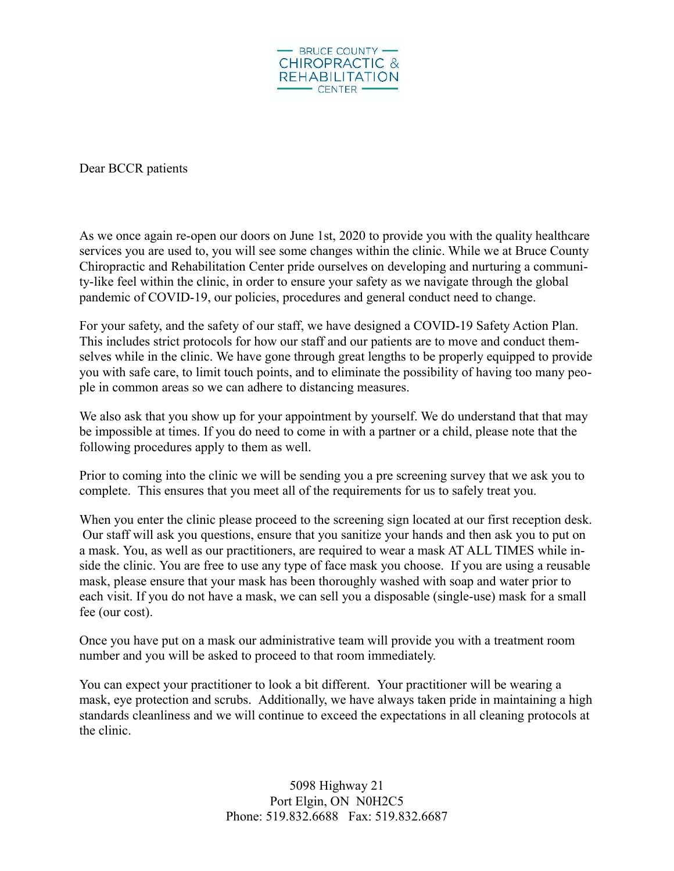

Dear BCCR patients

As we once again re-open our doors on June 1st, 2020 to provide you with the quality healthcare services you are used to, you will see some changes within the clinic. While we at Bruce County Chiropractic and Rehabilitation Center pride ourselves on developing and nurturing a community-like feel within the clinic, in order to ensure your safety as we navigate through the global pandemic of COVID-19, our policies, procedures and general conduct need to change.

For your safety, and the safety of our staff, we have designed a COVID-19 Safety Action Plan. This includes strict protocols for how our staff and our patients are to move and conduct themselves while in the clinic. We have gone through great lengths to be properly equipped to provide you with safe care, to limit touch points, and to eliminate the possibility of having too many people in common areas so we can adhere to distancing measures.

We also ask that you show up for your appointment by yourself. We do understand that that may be impossible at times. If you do need to come in with a partner or a child, please note that the following procedures apply to them as well.

Prior to coming into the clinic we will be sending you a pre screening survey that we ask you to complete. This ensures that you meet all of the requirements for us to safely treat you.

When you enter the clinic please proceed to the screening sign located at our first reception desk. Our staff will ask you questions, ensure that you sanitize your hands and then ask you to put on a mask. You, as well as our practitioners, are required to wear a mask AT ALL TIMES while inside the clinic. You are free to use any type of face mask you choose. If you are using a reusable mask, please ensure that your mask has been thoroughly washed with soap and water prior to each visit. If you do not have a mask, we can sell you a disposable (single-use) mask for a small fee (our cost).

Once you have put on a mask our administrative team will provide you with a treatment room number and you will be asked to proceed to that room immediately.

You can expect your practitioner to look a bit different. Your practitioner will be wearing a mask, eye protection and scrubs. Additionally, we have always taken pride in maintaining a high standards cleanliness and we will continue to exceed the expectations in all cleaning protocols at the clinic.

> 5098 Highway 21 Port Elgin, ON N0H2C5 Phone: 519.832.6688 Fax: 519.832.6687